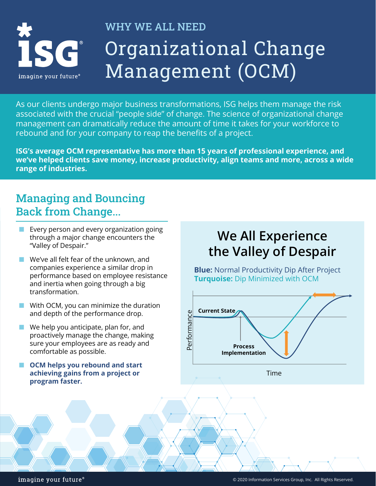

# WHY WE ALL NEED Organizational Change Management (OCM)

As our clients undergo major business transformations, ISG helps them manage the risk associated with the crucial "people side" of change. The science of organizational change management can dramatically reduce the amount of time it takes for your workforce to rebound and for your company to reap the benefits of a project.

**ISG's average OCM representative has more than 15 years of professional experience, and we've helped clients save money, increase productivity, align teams and more, across a wide range of industries.**

## Managing and Bouncing Back from Change...

- Every person and every organization going through a major change encounters the "Valley of Despair."
- ⬛ We've all felt fear of the unknown, and companies experience a similar drop in performance based on employee resistance and inertia when going through a big transformation.
- $\blacksquare$  With OCM, you can minimize the duration and depth of the performance drop.
- We help you anticipate, plan for, and proactively manage the change, making sure your employees are as ready and comfortable as possible.
- ⬛ **OCM helps you rebound and start achieving gains from a project or program faster.**

# **We All Experience the Valley of Despair**

**Blue:** Normal Productivity Dip After Project **Turquoise:** Dip Minimized with OCM



imagine your future®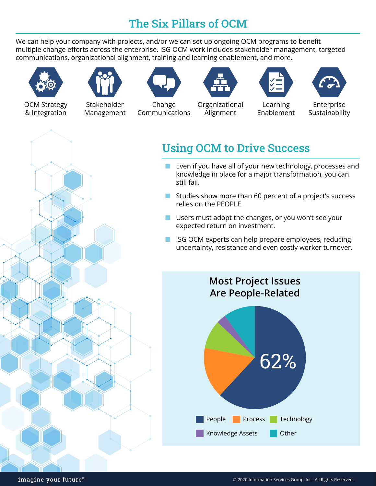# The Six Pillars of OCM

We can help your company with projects, and/or we can set up ongoing OCM programs to benefit multiple change efforts across the enterprise. ISG OCM work includes stakeholder management, targeted communications, organizational alignment, training and learning enablement, and more.



OCM Strategy & Integration



Stakeholder Management



Change Communications



Organizational Alignment



Learning Enablement



Enterprise Sustainability



# Using OCM to Drive Success

- Even if you have all of your new technology, processes and knowledge in place for a major transformation, you can still fail.
- Studies show more than 60 percent of a project's success relies on the PEOPLE.
- Users must adopt the changes, or you won't see your expected return on investment.
- ISG OCM experts can help prepare employees, reducing uncertainty, resistance and even costly worker turnover.

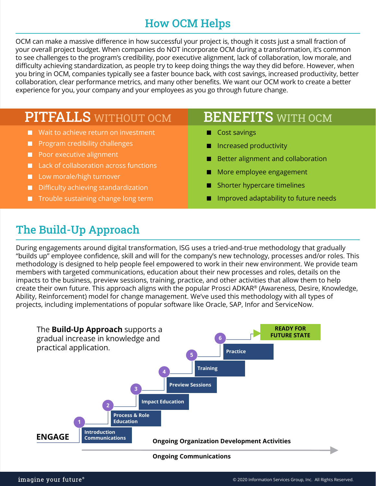#### How OCM Helps

OCM can make a massive difference in how successful your project is, though it costs just a small fraction of your overall project budget. When companies do NOT incorporate OCM during a transformation, it's common to see challenges to the program's credibility, poor executive alignment, lack of collaboration, low morale, and difficulty achieving standardization, as people try to keep doing things the way they did before. However, when you bring in OCM, companies typically see a faster bounce back, with cost savings, increased productivity, better collaboration, clear performance metrics, and many other benefits. We want our OCM work to create a better experience for you, your company and your employees as you go through future change.

# PITFALLS WITHOUT OCM

- Wait to achieve return on investment
- Program credibility challenges
- Poor executive alignment
- Lack of collaboration across functions
- Low morale/high turnover
- Difficulty achieving standardization
- Trouble sustaining change long term

#### **BENEFITS** WITH OCM

- ⬛ Cost savings
- Increased productivity
- Better alignment and collaboration
- More employee engagement
- Shorter hypercare timelines
- Improved adaptability to future needs

## The Build-Up Approach

During engagements around digital transformation, ISG uses a tried-and-true methodology that gradually "builds up" employee confidence, skill and will for the company's new technology, processes and/or roles. This methodology is designed to help people feel empowered to work in their new environment. We provide team members with targeted communications, education about their new processes and roles, details on the impacts to the business, preview sessions, training, practice, and other activities that allow them to help create their own future. This approach aligns with the popular Prosci ADKAR® (Awareness, Desire, Knowledge, Ability, Reinforcement) model for change management. We've used this methodology with all types of projects, including implementations of popular software like Oracle, SAP, Infor and ServiceNow.



#### **Ongoing Communications**